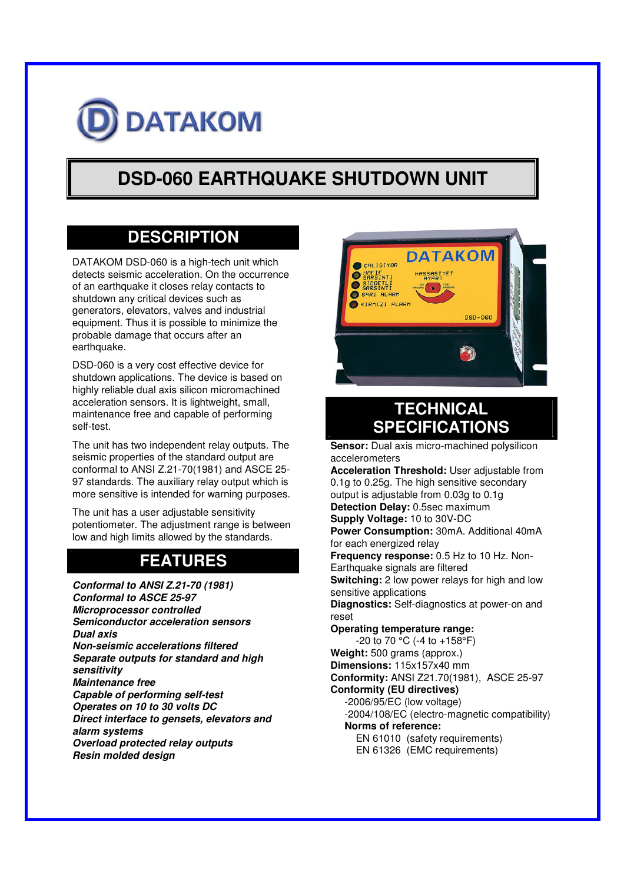

# **DSD-060 EARTHQUAKE SHUTDOWN UNIT**

### **DESCRIPTION**

DATAKOM DSD-060 is a high-tech unit which detects seismic acceleration. On the occurrence of an earthquake it closes relay contacts to shutdown any critical devices such as generators, elevators, valves and industrial equipment. Thus it is possible to minimize the probable damage that occurs after an earthquake.

DSD-060 is a very cost effective device for shutdown applications. The device is based on highly reliable dual axis silicon micromachined acceleration sensors. It is lightweight, small, maintenance free and capable of performing self-test.

The unit has two independent relay outputs. The seismic properties of the standard output are conformal to ANSI Z.21-70(1981) and ASCE 25- 97 standards. The auxiliary relay output which is more sensitive is intended for warning purposes.

The unit has a user adjustable sensitivity potentiometer. The adjustment range is between low and high limits allowed by the standards.

## **FEATURES**

*Conformal to ANSI Z.21-70 (1981) Conformal to ASCE 25-97 Microprocessor controlled Semiconductor acceleration sensors Dual axis Non-seismic accelerations filtered Separate outputs for standard and high sensitivity Maintenance free Capable of performing self-test Operates on 10 to 30 volts DC Direct interface to gensets, elevators and alarm systems Overload protected relay outputs Resin molded design*



## **TECHNICAL SPECIFICATIONS**

**Sensor:** Dual axis micro-machined polysilicon accelerometers **Acceleration Threshold:** User adjustable from 0.1g to 0.25g. The high sensitive secondary output is adjustable from 0.03g to 0.1g **Detection Delay:** 0.5sec maximum **Supply Voltage:** 10 to 30V-DC **Power Consumption:** 30mA. Additional 40mA for each energized relay **Frequency response:** 0.5 Hz to 10 Hz. Non-Earthquake signals are filtered **Switching:** 2 low power relays for high and low sensitive applications **Diagnostics:** Self-diagnostics at power-on and reset **Operating temperature range:**  $-20$  to 70 °C ( $-4$  to  $+158$ °F) **Weight:** 500 grams (approx.) **Dimensions:** 115x157x40 mm **Conformity:** ANSI Z21.70(1981), ASCE 25-97 **Conformity (EU directives)** -2006/95/EC (low voltage) -2004/108/EC (electro-magnetic compatibility) **Norms of reference:** EN 61010 (safety requirements) EN 61326 (EMC requirements)